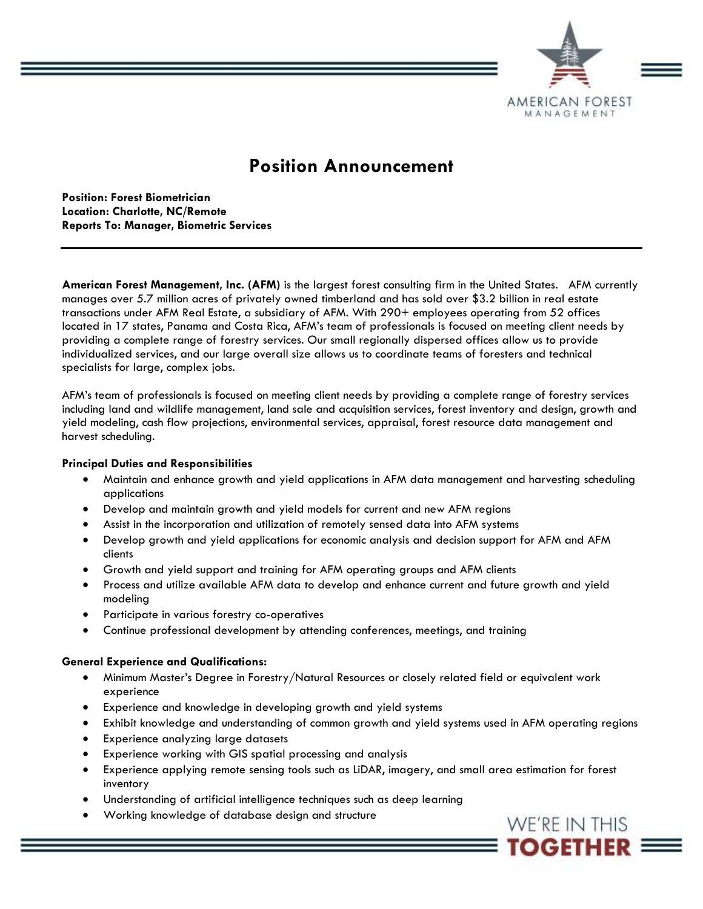

# **Position Announcement**

**Position: Forest Biometrician Location: Charlotte, NC/Remote Reports To: Manager, Biometric Services** 

**American Forest Management, Inc. (AFM)** is the largest forest consulting firm in the United States. AFM currently manages over 5.7 million acres of privately owned timberland and has sold over \$3.2 billion in real estate transactions under AFM Real Estate, a subsidiary of AFM. With 290+ employees operating from 52 offices located in 17 states, Panama and Costa Rica, AFM's team of professionals is focused on meeting client needs by providing a complete range of forestry services. Our small regionally dispersed offices allow us to provide individualized services, and our large overall size allows us to coordinate teams of foresters and technical specialists for large, complex jobs.

AFM's team of professionals is focused on meeting client needs by providing a complete range of forestry services including land and wildlife management, land sale and acquisition services, forest inventory and design, growth and yield modeling, cash flow projections, environmental services, appraisal, forest resource data management and harvest scheduling.

## **Principal Duties and Responsibilities**

- Maintain and enhance growth and yield applications in AFM data management and harvesting scheduling applications
- Develop and maintain growth and yield models for current and new AFM regions
- Assist in the incorporation and utilization of remotely sensed data into AFM systems
- Develop growth and yield applications for economic analysis and decision support for AFM and AFM clients
- Growth and yield support and training for AFM operating groups and AFM clients
- Process and utilize available AFM data to develop and enhance current and future growth and yield modeling
- Participate in various forestry co-operatives
- Continue professional development by attending conferences, meetings, and training

## **General Experience and Qualifications:**

- Minimum Master's Degree in Forestry/Natural Resources or closely related field or equivalent work experience
- Experience and knowledge in developing growth and yield systems
- Exhibit knowledge and understanding of common growth and yield systems used in AFM operating regions
- Experience analyzing large datasets
- Experience working with GIS spatial processing and analysis
- Experience applying remote sensing tools such as LiDAR, imagery, and small area estimation for forest inventory
- Understanding of artificial intelligence techniques such as deep learning
- Working knowledge of database design and structure